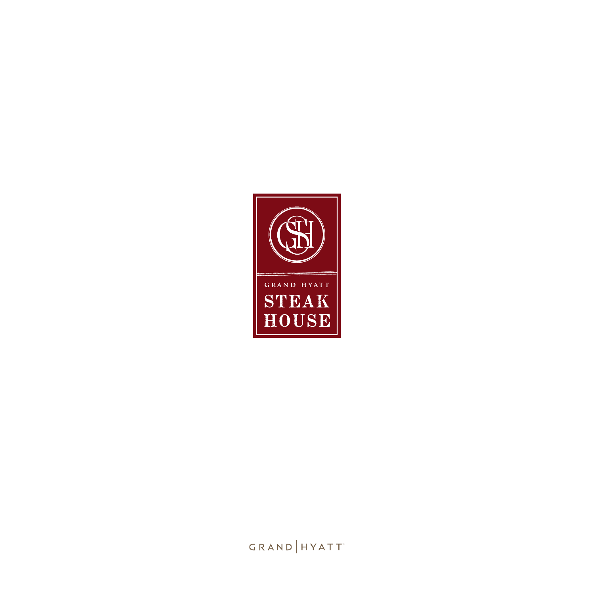

*Please advise our associates if you have any food allergies or special dietary requirements.*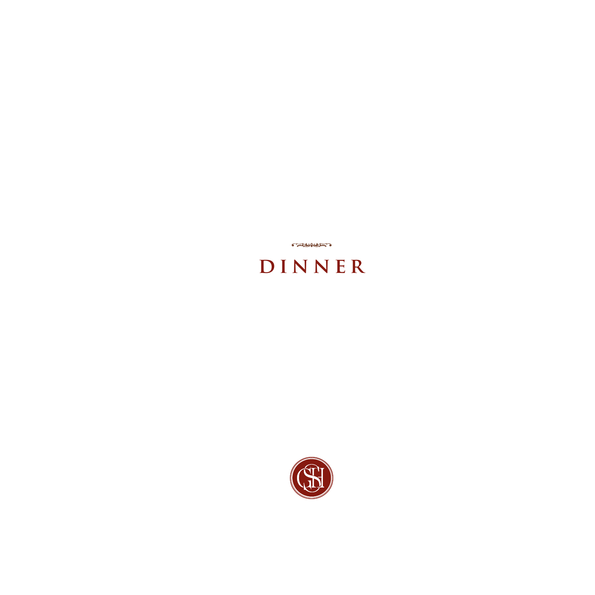

# **DINNER**

**CALL AND THE PARTIES**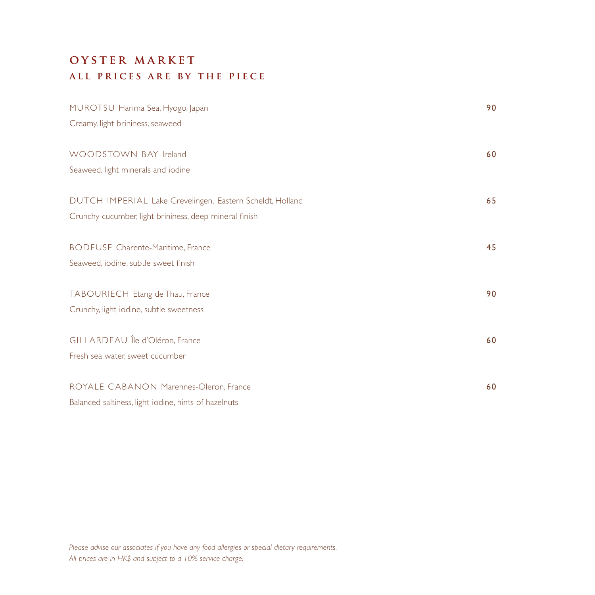# **oyster market all prices are by the piece**

| MUROTSU Harima Sea, Hyogo, Japan                          | 90 |
|-----------------------------------------------------------|----|
| Creamy, light brininess, seaweed                          |    |
| WOODSTOWN BAY Ireland                                     | 60 |
| Seaweed, light minerals and iodine                        |    |
| DUTCH IMPERIAL Lake Grevelingen, Eastern Scheldt, Holland | 65 |
| Crunchy cucumber, light brininess, deep mineral finish    |    |
| <b>BODEUSE</b> Charente-Maritime, France                  | 45 |
| Seaweed, iodine, subtle sweet finish                      |    |
| TABOURIECH Etang de Thau, France                          | 90 |
| Crunchy, light iodine, subtle sweetness                   |    |
| GILLARDEAU Île d'Oléron, France                           | 60 |
| Fresh sea water, sweet cucumber                           |    |
| ROYALE CABANON Marennes-Oleron, France                    | 60 |
| Balanced saltiness, light iodine, hints of hazelnuts      |    |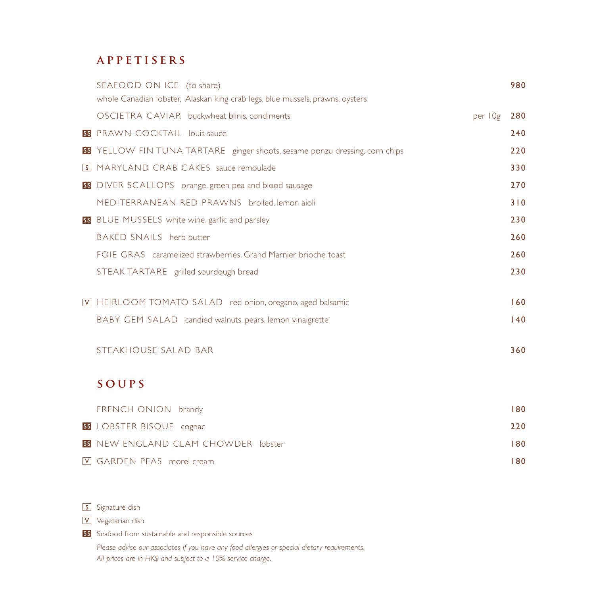## **appetisers**

| SEAFOOD ON ICE (to share)                                                     |         | 980 |
|-------------------------------------------------------------------------------|---------|-----|
| whole Canadian lobster, Alaskan king crab legs, blue mussels, prawns, oysters |         |     |
| OSCIETRA CAVIAR buckwheat blinis, condiments                                  | per 10g | 280 |
| <b>SS</b> PRAWN COCKTAIL louis sauce                                          |         | 240 |
| SS YELLOW FIN TUNA TARTARE ginger shoots, sesame ponzu dressing, corn chips   |         | 220 |
| <b>S</b> MARYLAND CRAB CAKES sauce remoulade                                  |         | 330 |
| SS DIVER SCALLOPS orange, green pea and blood sausage                         |         | 270 |
| MEDITERRANEAN RED PRAWNS broiled, lemon aioli                                 |         | 310 |
| SS BLUE MUSSELS white wine, garlic and parsley                                |         | 230 |
| BAKED SNAILS herb butter                                                      |         | 260 |
| FOIE GRAS caramelized strawberries, Grand Marnier, brioche toast              |         | 260 |
| STEAK TARTARE grilled sourdough bread                                         |         | 230 |
| V HEIRLOOM TOMATO SALAD red onion, oregano, aged balsamic                     |         | 160 |
|                                                                               |         |     |
| BABY GEM SALAD candied walnuts, pears, lemon vinaigrette                      |         | 140 |
| STEAKHOUSE SALAD BAR                                                          |         | 360 |
|                                                                               |         |     |
| SOUPS                                                                         |         |     |
| FRENCH ONION brandy                                                           |         | 180 |
| SS LOBSTER BISQUE cognac                                                      |         | 220 |
| <b>SS</b> NEW ENGLAND CLAM CHOWDER lobster                                    |         | 180 |
| V GARDEN PEAS morel cream                                                     |         | 180 |

S Signature dish

Vegetarian dish

SS Seafood from sustainable and responsible sources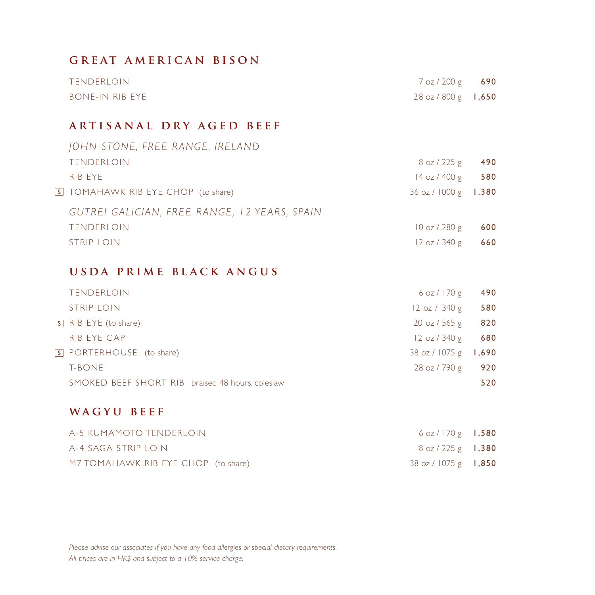#### **great american bison**

| TENDERLOIN      | 7 oz / 200 g 690      |  |
|-----------------|-----------------------|--|
| bone-in rib eye | $28 oz / 800 g$ 1,650 |  |

## **artisanal dry aged beef**

| JOHN STONE, FREE RANGE, IRELAND              |                    |       |
|----------------------------------------------|--------------------|-------|
| <b>TENDERLOIN</b>                            | $8$ oz / 225 g     | 490   |
| RIB EYE                                      | $14$ oz / $400$ g  | 580   |
| S TOMAHAWK RIB EYE CHOP (to share)           | $36$ oz / $1000$ g | 1,380 |
| GUTREI GALICIAN, FREE RANGE, 12 YEARS, SPAIN |                    |       |
| <b>TENDERLOIN</b>                            | $10$ oz / 280 g    | 600   |
| STRIP LOIN                                   | $12$ oz / 340 g    | 660   |
|                                              |                    |       |

## **usda prime black angus**

| <b>TENDERLOIN</b>                                | 6 oz / 170 g                    | 490   |
|--------------------------------------------------|---------------------------------|-------|
| <b>STRIP LOIN</b>                                | 12 oz / 340 g                   | 580   |
| S RIB EYE (to share)                             | $20 \text{ oz} / 565 \text{ g}$ | 820   |
| RIB EYE CAP                                      | $12 \text{ oz} / 340 \text{ g}$ | 680   |
| S PORTERHOUSE (to share)                         | 38 oz / 1075 g                  | 1,690 |
| T-BONE                                           | 28 oz / 790 g                   | 920   |
| SMOKED BEEF SHORT RIB braised 48 hours, coleslaw |                                 | 520   |
|                                                  |                                 |       |

#### **wagyu beef**

| A-5 KUMAMOTO TENDERLOIN             | $6$ oz / 170 g <b>1,580</b>            |  |
|-------------------------------------|----------------------------------------|--|
| A-4 SAGA STRIP LOIN                 | $8$ oz / 225 g <b>1,380</b>            |  |
| M7 TOMAHAWK RIB EYE CHOP (to share) | $38 \text{ oz} / 1075 \text{ g}$ 1,850 |  |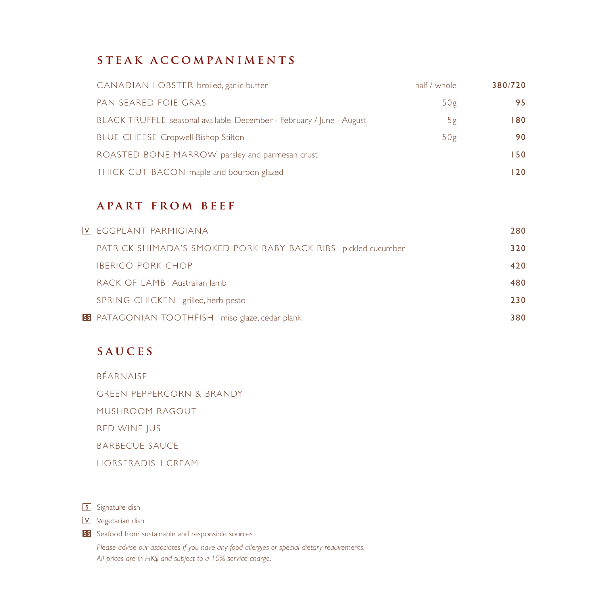## **steak accompaniments**

| CANADIAN LOBSTER broiled, garlic butter                               | half / whole | 380/720 |
|-----------------------------------------------------------------------|--------------|---------|
| PAN SEARED FOIE GRAS                                                  | 50g          | 95      |
| BLACK TRUFFLE seasonal available, December - February / June - August | 5g           | 180     |
| <b>BLUE CHEESE Cropwell Bishop Stilton</b>                            | 50g          | 90      |
| ROASTED BONE MARROW parsley and parmesan crust                        |              | 150     |
| THICK CUT BACON maple and bourbon glazed                              |              | 120.    |

#### **apart from beef**

| VI eggplant parmigiana                                        | 280 |
|---------------------------------------------------------------|-----|
| PATRICK SHIMADA'S SMOKED PORK BABY BACK RIBS pickled cucumber | 320 |
| <b>IBERICO PORK CHOP</b>                                      | 420 |
| RACK OF LAMB Australian lamb                                  | 480 |
| SPRING CHICKEN grilled, herb pesto                            | 230 |
| SS PATAGONIAN TOOTHFISH miso glaze, cedar plank               | 380 |

## **sauces**

BÉARNAISE

GREEN PEPPERCORN & BRANDY

MUSHROOM RAGOUT

RED WINE JUS

BARBECUE SAUCE

HORSERADISH CREAM

S Signature dish

V Vegetarian dish

SS Seafood from sustainable and responsible sources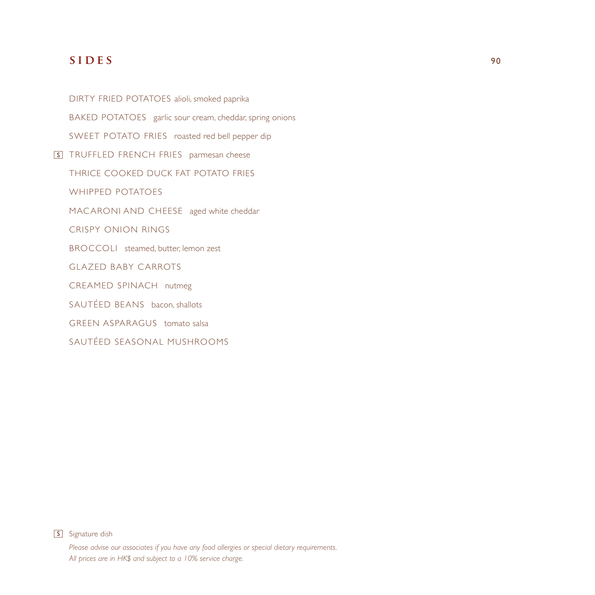#### **SIDES** 90

DIRTY FRIED POTATOES alioli, smoked paprika BAKED POTATOES garlic sour cream, cheddar, spring onions SWEET POTATO FRIES roasted red bell pepper dip **S** TRUFFLED FRENCH FRIES parmesan cheese THRICE COOKED DUCK FAT POTATO FRIES WHIPPED POTATOES MACARONI AND CHEESE aged white cheddar CRISPY ONION RINGS BROCCOLI steamed, butter, lemon zest **GLAZED BABY CARROTS** CREAMED SPINACH nutmeg SAUTÉED BEANS bacon, shallots GREEN ASPARAGUS tomato salsa

SAUTÉED SEASONAL MUSHROOMS



S Signature dish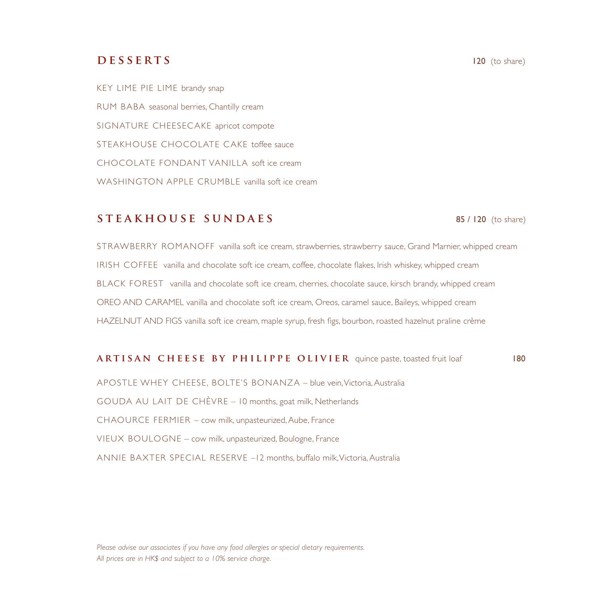#### **DESSERTS** 120 (to share)

KEY LIME PIE LIME brandy snap RUM BABA seasonal berries, Chantilly cream SIGNATURE CHEESEC AKE apricot compote STEAKHOUSE CHOCOLATE C AKE toffee sauce CHOCOLATE FONDANT VANILLA soft ice cream WASHINGTON APPLE CRUMBLE vanilla soft ice cream

#### **STEAKHOUSE SUNDAES** 85/120 (to share)

STRAWBERRY ROMANOFF vanilla soft ice cream, strawberries, strawberry sauce, Grand Marnier, whipped cream IRISH COFFEE vanilla and chocolate soft ice cream, coffee, chocolate flakes, Irish whiskey, whipped cream BLACK FOREST vanilla and chocolate soft ice cream, cherries, chocolate sauce, kirsch brandy, whipped cream OREO AND CARAMEL vanilla and chocolate soft ice cream, Oreos, caramel sauce, Baileys, whipped cream HAZELNUT AND FIGS vanilla soft ice cream, maple syrup, fresh figs, bourbon, roasted hazelnut praline crème

#### **ARTISAN CHEESE BY PHILIPPE OLIVIER** quince paste, toasted fruit loaf 180

APOSTLE WHEY CHEESE, BOLTE'S BONANZA – blue vein, Victoria, Australia GOUDA AU LAIT DE CHÈVRE – 10 months, goat milk, Netherlands CHAOURCE FERMIER – cow milk, unpasteurized, Aube, France VIEUX BOULOGNE – cow milk, unpasteurized, Boulogne, France ANNIE BAXTER SPECIAL RESERVE –12 months, buffalo milk, Victoria, Australia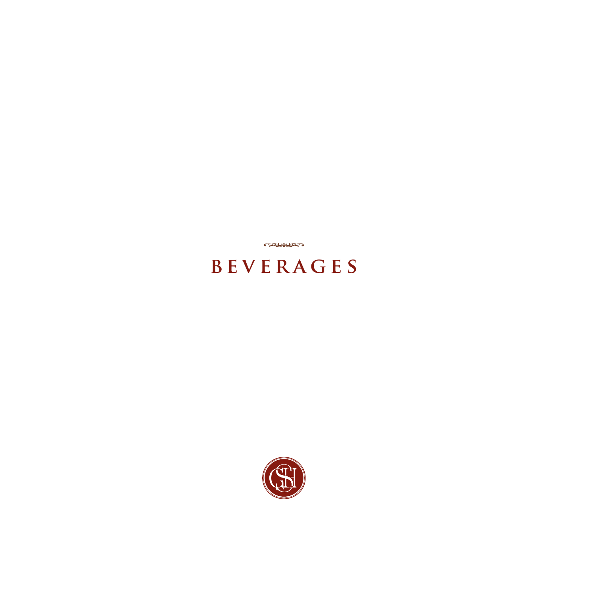

# **beverages**

**CALIFORNIA**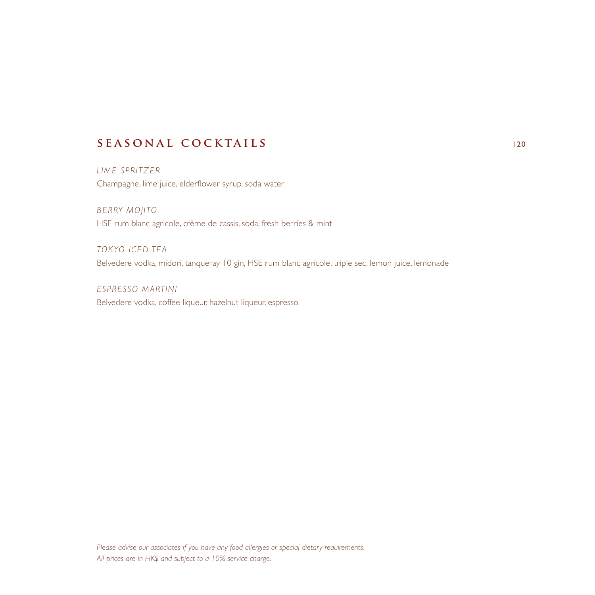# **seasonal cocktails** <sup>120</sup>

*LIME SPRITZER* Champagne, lime juice, elderflower syrup, soda water

*BERRY MOJITO* HSE rum blanc agricole, crème de cassis, soda, fresh berries & mint

*TOKYO ICED TEA* Belvedere vodka, midori, tanqueray 10 gin, HSE rum blanc agricole, triple sec, lemon juice, lemonade

*ESPRESSO MARTINI* Belvedere vodka, coffee liqueur, hazelnut liqueur, espresso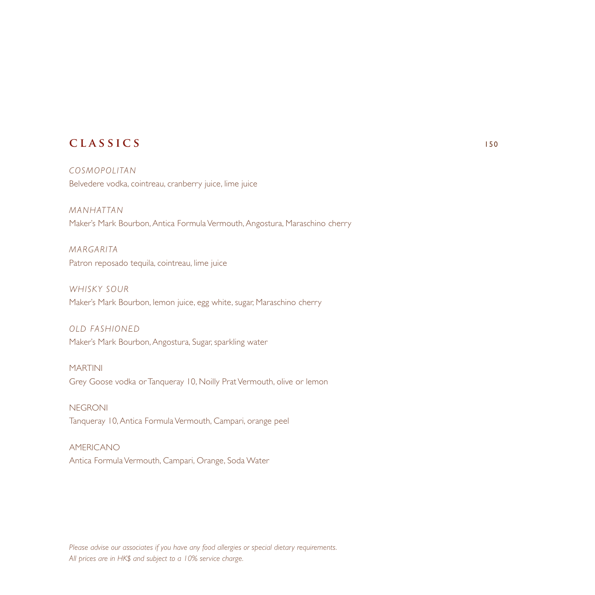## **classics** <sup>150</sup>

*COSMOPOLITAN* Belvedere vodka, cointreau, cranberry juice, lime juice

*MANHATTAN* Maker's Mark Bourbon, Antica Formula Vermouth, Angostura, Maraschino cherry

*MARGARITA* Patron reposado tequila, cointreau, lime juice

*WHISKY SOUR* Maker's Mark Bourbon, lemon juice, egg white, sugar, Maraschino cherry

*OLD FASHIONED* Maker's Mark Bourbon, Angostura, Sugar, sparkling water

MARTINI Grey Goose vodka or Tanqueray 10, Noilly Prat Vermouth, olive or lemon

**NEGRONI** Tanqueray 10, Antica Formula Vermouth, Campari, orange peel

AMERICANO Antica Formula Vermouth, Campari, Orange, Soda Water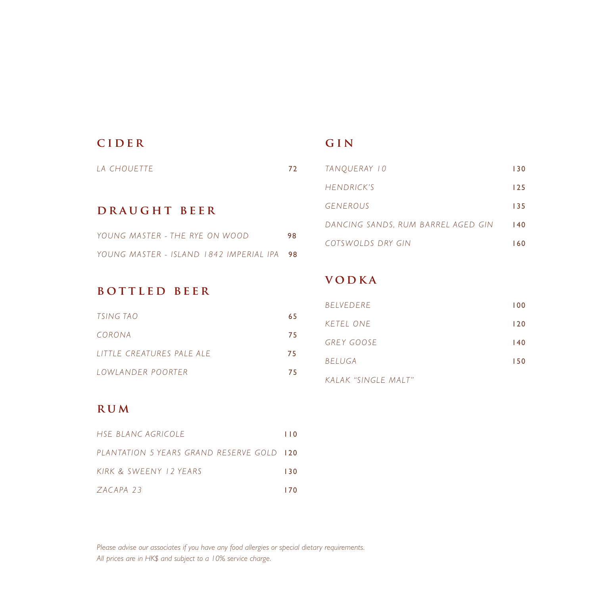| CIDER                                   |    |
|-----------------------------------------|----|
| <i>IA CHOUFTTE</i>                      | 72 |
|                                         |    |
| DRAUGHT BEER                            |    |
| YOUNG MASTER - THE RYE ON WOOD          | 98 |
| YOUNG MASTER - ISLAND 1842 IMPERIAL IPA | 98 |

## **gin**

| TANOUERAY 10                       | 130 |
|------------------------------------|-----|
| HENDRICK'S                         | 125 |
| <b>GENEROUS</b>                    | 135 |
| DANCING SANDS. RUM BARREL AGED GIN | 140 |
| COTSWOLDS DRY GIN                  | 160 |
|                                    |     |

#### **bottled beer**

| TSING TAO                 | 65  |
|---------------------------|-----|
| CORONA                    | 75. |
| LITTLE CREATURES PALE ALE | 75. |
| LOWLANDER POORTER         | 75. |

# **vodka**

| <b>BELVEDERE</b>    | 100 |
|---------------------|-----|
| KETEL ONE           | 120 |
| <b>GREY GOOSE</b>   | 140 |
| <b>BELUGA</b>       | 150 |
| KALAK "SINGLE MALT" |     |

#### **rum**

| HSE BLANC AGRICOLE                        | l I 0 |
|-------------------------------------------|-------|
| PLANTATION 5 YEARS GRAND RESERVE GOLD 120 |       |
| KIRK & SWEENY 12 YEARS                    | 130   |
| ZACAPA 23                                 | 170   |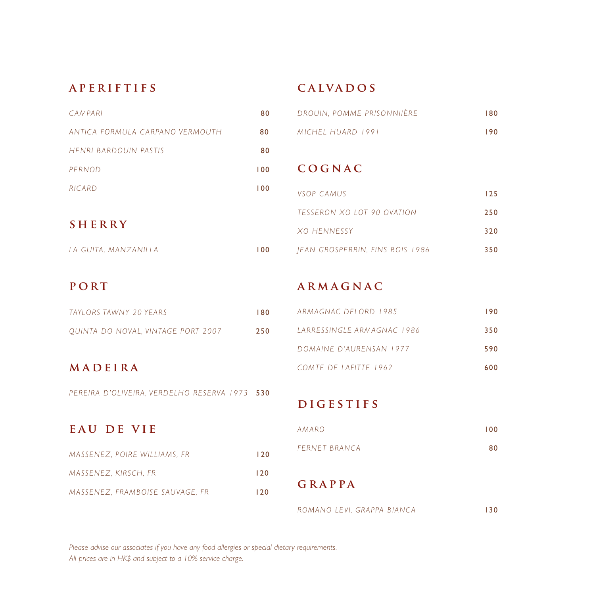#### **aperiftifs**

# **calvados**

|               | <b>CAMPARI</b>                   | 80                 | DROUIN, POMME PRISONNIIÈRE      | 180 |
|---------------|----------------------------------|--------------------|---------------------------------|-----|
|               | ANTICA FORMUI A CARPANO VERMOUTH | 80                 | MICHEL HUARD 1991               | 190 |
|               | HENRI BARDOUIN PASTIS            | 80                 |                                 |     |
|               | PERNOD                           | 100                | COGNAC                          |     |
|               | RICARD                           | 100                | VSOP CAMUS                      | 125 |
| <b>SHERRY</b> |                                  |                    | TESSERON XO LOT 90 OVATION      | 250 |
|               |                                  | <b>XO HENNESSY</b> | 320                             |     |
|               | LA GUITA, MANZANILLA             | 100                | JEAN GROSPERRIN, FINS BOIS 1986 | 350 |
|               |                                  |                    |                                 |     |

## **port**

| TAYI ORS TAWNY 20 YEARS            | 180 |
|------------------------------------|-----|
| QUINTA DO NOVAL, VINTAGE PORT 2007 | 250 |

# **madeira**

*PEREIRA D'OLIVEIRA, VERDELHO RESERVA 1973* 530

# **armagnac**

| ARMAGNAC DELORD 1985       | 190 |
|----------------------------|-----|
| TARRESSINGLE ARMAGNAC 1986 | 350 |
| DOMAINE D'AURENSAN 1977    | 590 |
| COMTE DE LAFITTE 1962      | 600 |

# **DIGESTIFS**

| EAU DE VIE                      |      |
|---------------------------------|------|
| MASSENEZ, POIRE WILLIAMS, FR    | 120  |
| MASSENEZ, KIRSCH, FR            | 120  |
| MASSENEZ, FRAMBOISE SAUVAGE, FR | l 20 |

| AMARO         | 100 |
|---------------|-----|
| FERNET BRANCA | 80  |

# **grappa**

*ROMANO LEVI, GRAPPA BIANCA* 130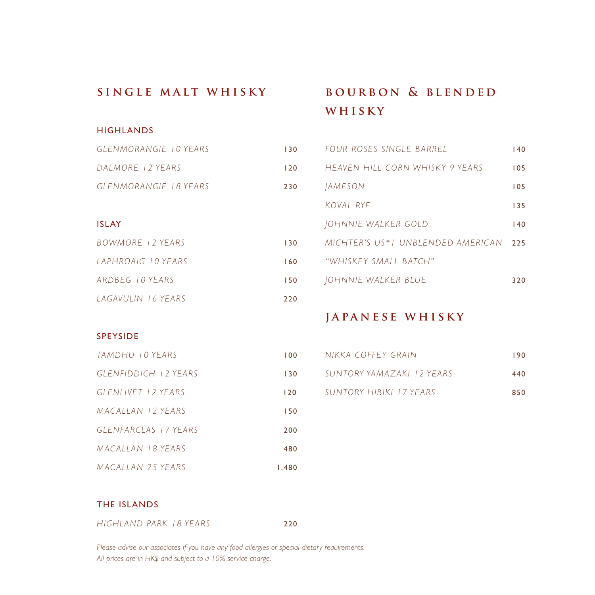#### **single malt whisky**

#### **HIGHLANDS**

| GLENMORANGIE 10 YEARS | 130 |
|-----------------------|-----|
| DALMORE 12 YEARS      | 120 |
| GLENMORANGIE 18 YEARS | 230 |

#### ISLAY

| BOWMORE 12 YEARS   | 130 |
|--------------------|-----|
| LAPHROAIG TO YEARS | 160 |
| ARDBEG 10 YEARS    | 150 |
| LAGAVULIN 16 YEARS | 220 |

# **bourbon & blended whisky**

| FOUR ROSES SINGLE BARREL          | 140 |
|-----------------------------------|-----|
| HEAVEN HILL CORN WHISKY 9 YEARS   | 105 |
| <i>IAMESON</i>                    | 105 |
| KOVAL RYE                         | 135 |
| IOHNNIE WALKER GOLD               | 140 |
| MICHTER'S US*I UNBLENDED AMERICAN | 225 |
| "WHISKEY SMALL BATCH"             |     |
| JOHNNIE WALKER BLUE               | 320 |
|                                   |     |

#### **japanese whisky**

#### SPEYSIDE

| TAMDHU 10 YEARS             | 100    |
|-----------------------------|--------|
| <b>GLENFIDDICH 12 YEARS</b> | 130    |
| GLENLIVET 12 YEARS          | 120    |
| MACALLAN 12 YEARS           | 150    |
| GLENFARCLAS 17 YEARS        | 200    |
| MACALLAN 18 YEARS           | 480    |
| <b>MACALLAN 25 YEARS</b>    | 480. ا |

| NIKKA COFFEY GRAIN        | 190 |
|---------------------------|-----|
| SUNTORY YAMAZAKI 12 YEARS | 440 |
| SUNTORY HIBIKI 17 YEARS   | 850 |

#### THE ISLANDS